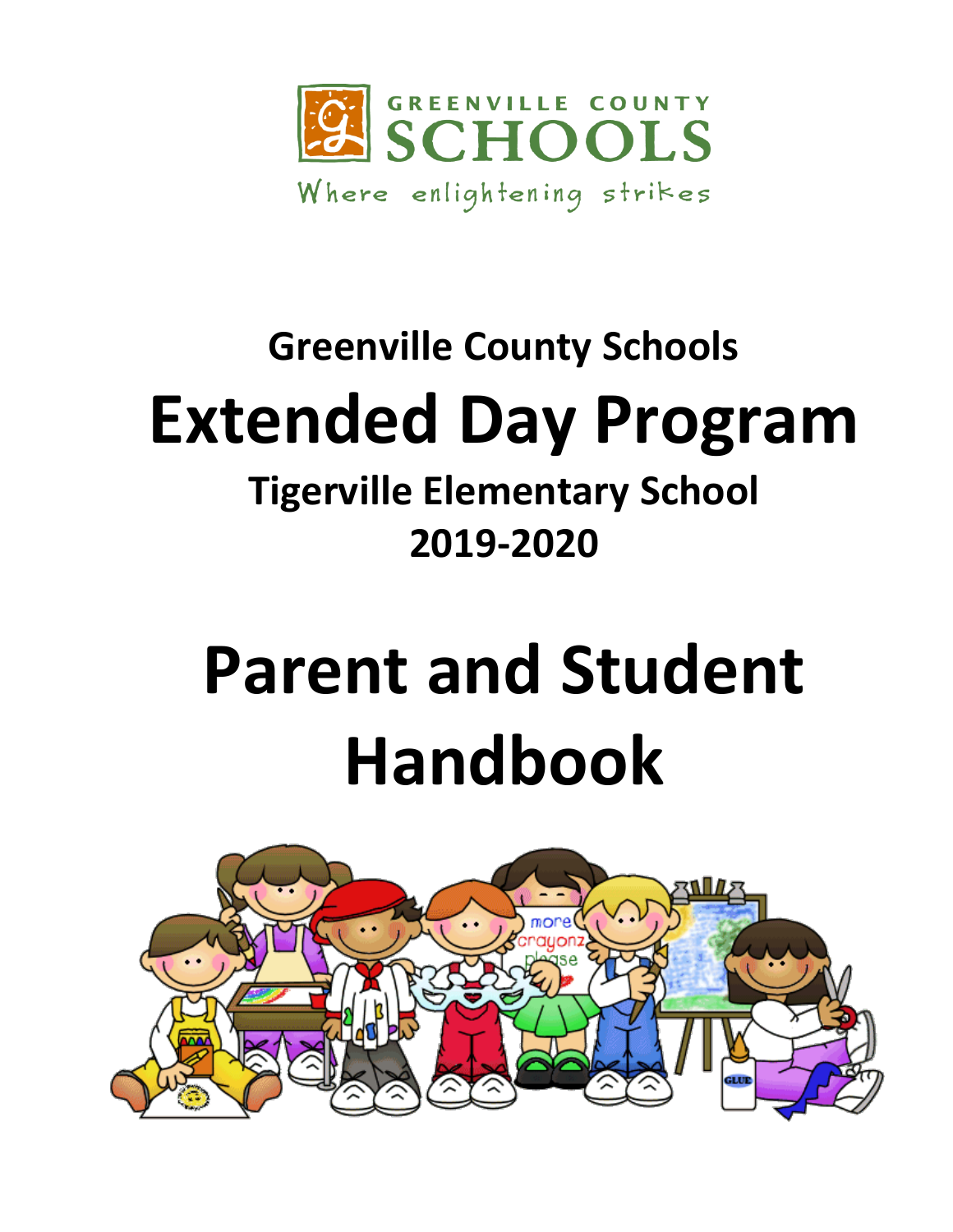

## **Greenville County Schools Extended Day Program Tigerville Elementary School**

### **2019-2020**

# **Parent and Student Handbook**

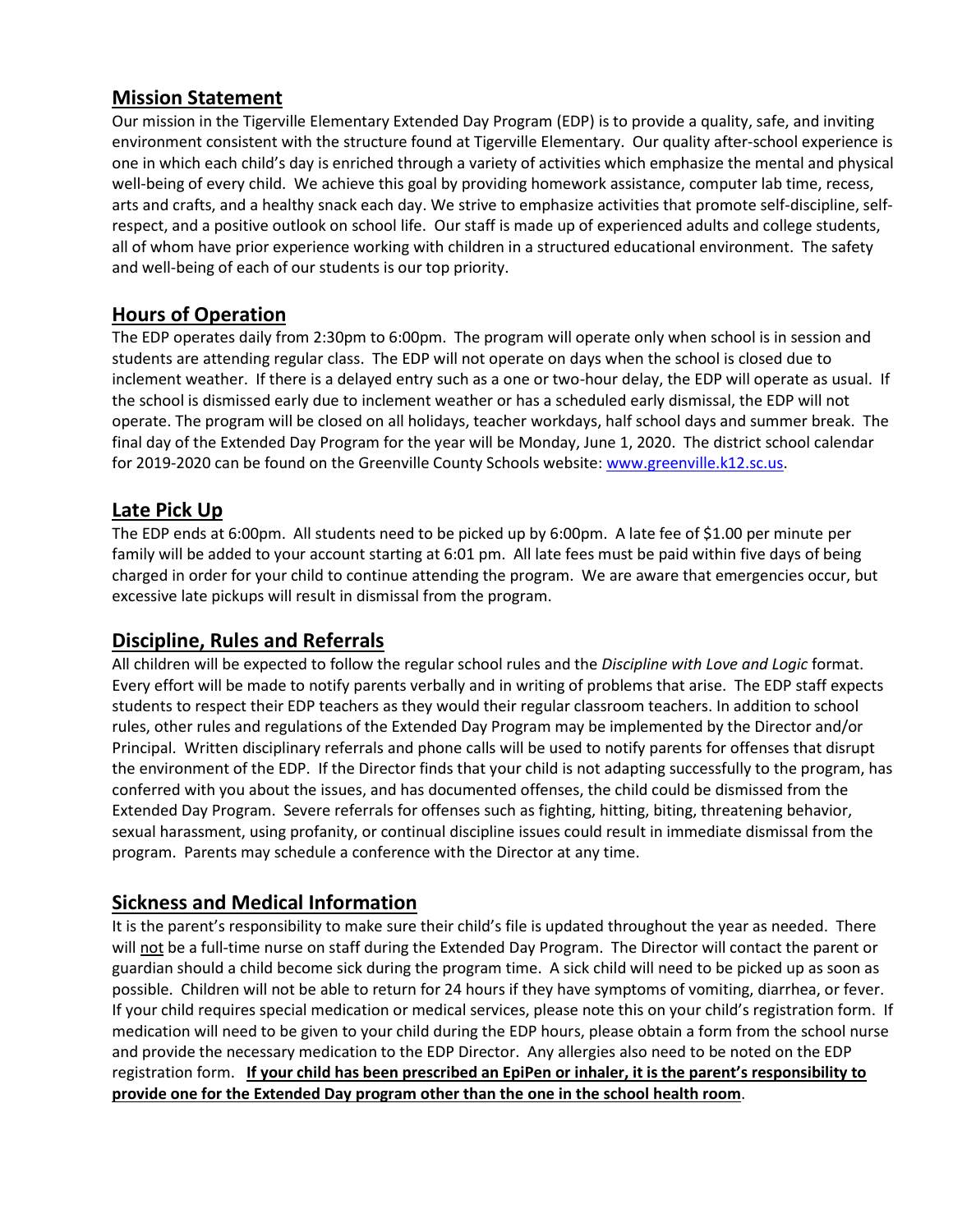#### **Mission Statement**

Our mission in the Tigerville Elementary Extended Day Program (EDP) is to provide a quality, safe, and inviting environment consistent with the structure found at Tigerville Elementary. Our quality after-school experience is one in which each child's day is enriched through a variety of activities which emphasize the mental and physical well-being of every child. We achieve this goal by providing homework assistance, computer lab time, recess, arts and crafts, and a healthy snack each day. We strive to emphasize activities that promote self-discipline, selfrespect, and a positive outlook on school life. Our staff is made up of experienced adults and college students, all of whom have prior experience working with children in a structured educational environment. The safety and well-being of each of our students is our top priority.

#### **Hours of Operation**

The EDP operates daily from 2:30pm to 6:00pm. The program will operate only when school is in session and students are attending regular class. The EDP will not operate on days when the school is closed due to inclement weather. If there is a delayed entry such as a one or two-hour delay, the EDP will operate as usual. If the school is dismissed early due to inclement weather or has a scheduled early dismissal, the EDP will not operate. The program will be closed on all holidays, teacher workdays, half school days and summer break. The final day of the Extended Day Program for the year will be Monday, June 1, 2020. The district school calendar for 2019-2020 can be found on the Greenville County Schools website[: www.greenville.k12.sc.us.](http://www.greenville.k12.sc.us/)

#### **Late Pick Up**

The EDP ends at 6:00pm. All students need to be picked up by 6:00pm. A late fee of \$1.00 per minute per family will be added to your account starting at 6:01 pm. All late fees must be paid within five days of being charged in order for your child to continue attending the program. We are aware that emergencies occur, but excessive late pickups will result in dismissal from the program.

#### **Discipline, Rules and Referrals**

All children will be expected to follow the regular school rules and the *Discipline with Love and Logic* format. Every effort will be made to notify parents verbally and in writing of problems that arise. The EDP staff expects students to respect their EDP teachers as they would their regular classroom teachers. In addition to school rules, other rules and regulations of the Extended Day Program may be implemented by the Director and/or Principal. Written disciplinary referrals and phone calls will be used to notify parents for offenses that disrupt the environment of the EDP. If the Director finds that your child is not adapting successfully to the program, has conferred with you about the issues, and has documented offenses, the child could be dismissed from the Extended Day Program. Severe referrals for offenses such as fighting, hitting, biting, threatening behavior, sexual harassment, using profanity, or continual discipline issues could result in immediate dismissal from the program. Parents may schedule a conference with the Director at any time.

#### **Sickness and Medical Information**

It is the parent's responsibility to make sure their child's file is updated throughout the year as needed. There will not be a full-time nurse on staff during the Extended Day Program. The Director will contact the parent or guardian should a child become sick during the program time. A sick child will need to be picked up as soon as possible. Children will not be able to return for 24 hours if they have symptoms of vomiting, diarrhea, or fever. If your child requires special medication or medical services, please note this on your child's registration form. If medication will need to be given to your child during the EDP hours, please obtain a form from the school nurse and provide the necessary medication to the EDP Director. Any allergies also need to be noted on the EDP registration form. **If your child has been prescribed an EpiPen or inhaler, it is the parent's responsibility to provide one for the Extended Day program other than the one in the school health room**.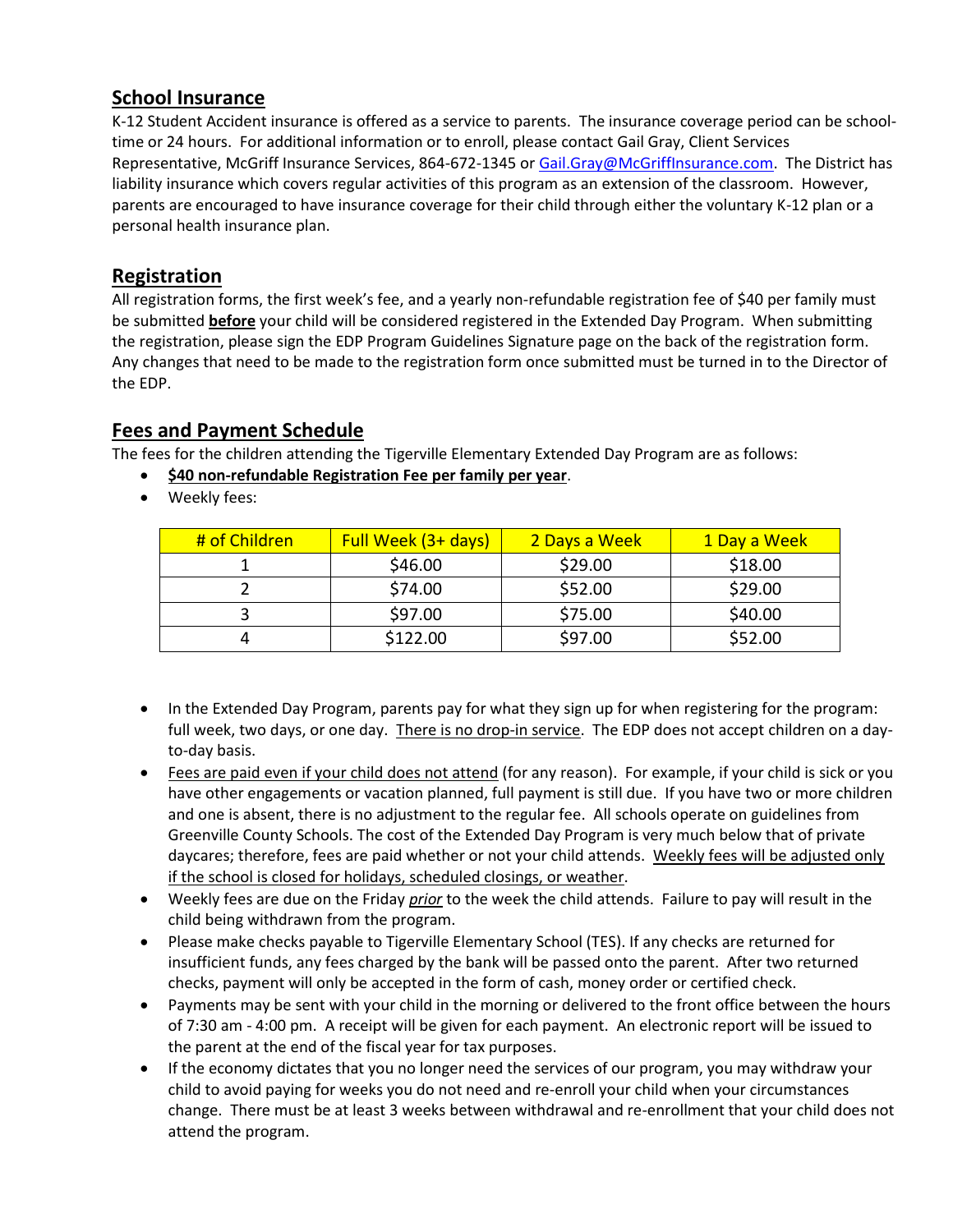#### **School Insurance**

K-12 Student Accident insurance is offered as a service to parents. The insurance coverage period can be schooltime or 24 hours. For additional information or to enroll, please contact Gail Gray, Client Services Representative, McGriff Insurance Services, 864-672-1345 or [Gail.Gray@McGriffInsurance.com.](mailto:Gail.Gray@McGriffInsurance.com) The District has liability insurance which covers regular activities of this program as an extension of the classroom. However, parents are encouraged to have insurance coverage for their child through either the voluntary K-12 plan or a personal health insurance plan.

#### **Registration**

All registration forms, the first week's fee, and a yearly non-refundable registration fee of \$40 per family must be submitted **before** your child will be considered registered in the Extended Day Program. When submitting the registration, please sign the EDP Program Guidelines Signature page on the back of the registration form. Any changes that need to be made to the registration form once submitted must be turned in to the Director of the EDP.

#### **Fees and Payment Schedule**

The fees for the children attending the Tigerville Elementary Extended Day Program are as follows:

- **\$40 non-refundable Registration Fee per family per year**.
- Weekly fees:

| # of Children | Full Week (3+ days) | 2 Days a Week | 1 Day a Week |
|---------------|---------------------|---------------|--------------|
|               | \$46.00             | \$29.00       | \$18.00      |
|               | \$74.00             | \$52.00       | \$29.00      |
|               | \$97.00             | \$75.00       | \$40.00      |
|               | \$122.00            | \$97.00       | \$52.00      |

- In the Extended Day Program, parents pay for what they sign up for when registering for the program: full week, two days, or one day. There is no drop-in service. The EDP does not accept children on a dayto-day basis.
- Fees are paid even if your child does not attend (for any reason). For example, if your child is sick or you have other engagements or vacation planned, full payment is still due. If you have two or more children and one is absent, there is no adjustment to the regular fee. All schools operate on guidelines from Greenville County Schools. The cost of the Extended Day Program is very much below that of private daycares; therefore, fees are paid whether or not your child attends. Weekly fees will be adjusted only if the school is closed for holidays, scheduled closings, or weather.
- Weekly fees are due on the Friday *prior* to the week the child attends. Failure to pay will result in the child being withdrawn from the program.
- Please make checks payable to Tigerville Elementary School (TES). If any checks are returned for insufficient funds, any fees charged by the bank will be passed onto the parent. After two returned checks, payment will only be accepted in the form of cash, money order or certified check.
- Payments may be sent with your child in the morning or delivered to the front office between the hours of 7:30 am - 4:00 pm. A receipt will be given for each payment. An electronic report will be issued to the parent at the end of the fiscal year for tax purposes.
- If the economy dictates that you no longer need the services of our program, you may withdraw your child to avoid paying for weeks you do not need and re-enroll your child when your circumstances change. There must be at least 3 weeks between withdrawal and re-enrollment that your child does not attend the program.